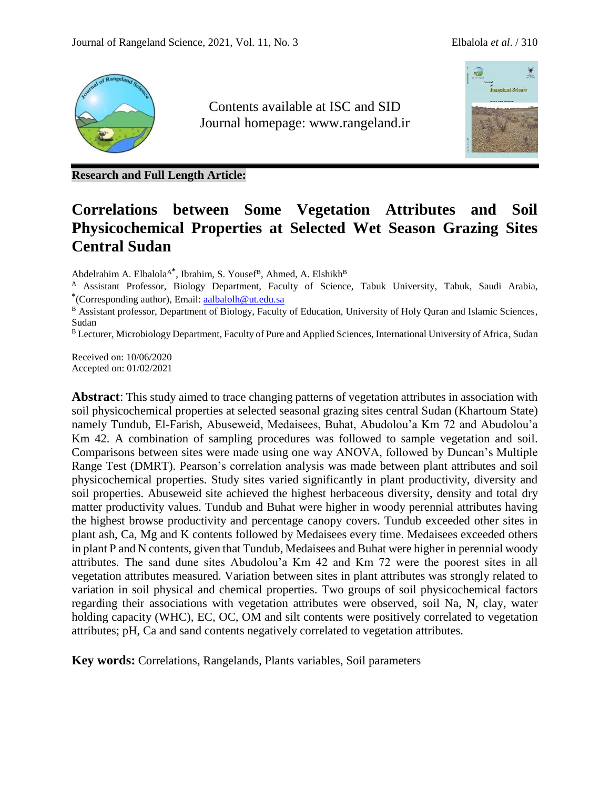

Contents available at ISC and SID Journal homepage: [www.rangeland.ir](http://www.rangeland.ir/)



**Research and Full Length Article:**

# **Correlations between Some Vegetation Attributes and Soil Physicochemical Properties at Selected Wet Season Grazing Sites Central Sudan**

Abdelrahim A. Elbalola<sup>A\*</sup>, Ibrahim, S. Yousef<sup>B</sup>, Ahmed, A. Elshikh<sup>B</sup>

<sup>A</sup> Assistant Professor, Biology Department, Faculty of Science, Tabuk University, Tabuk, Saudi Arabia, **\*** (Corresponding author), Email: [aalbalolh@ut.edu.sa](mailto:aalbalolh@ut.edu.sa)

B Assistant professor, Department of Biology, Faculty of Education, University of Holy Quran and Islamic Sciences, Sudan

B Lecturer, Microbiology Department, Faculty of Pure and Applied Sciences, International University of Africa, Sudan

Received on: 10/06/2020 Accepted on: 01/02/2021

**Abstract**: This study aimed to trace changing patterns of vegetation attributes in association with soil physicochemical properties at selected seasonal grazing sites central Sudan (Khartoum State) namely Tundub, El-Farish, Abuseweid, Medaisees, Buhat, Abudolou'a Km 72 and Abudolou'a Km 42. A combination of sampling procedures was followed to sample vegetation and soil. Comparisons between sites were made using one way ANOVA, followed by Duncan's Multiple Range Test (DMRT). Pearson's correlation analysis was made between plant attributes and soil physicochemical properties. Study sites varied significantly in plant productivity, diversity and soil properties. Abuseweid site achieved the highest herbaceous diversity, density and total dry matter productivity values. Tundub and Buhat were higher in woody perennial attributes having the highest browse productivity and percentage canopy covers. Tundub exceeded other sites in plant ash, Ca, Mg and K contents followed by Medaisees every time. Medaisees exceeded others in plant P and N contents, given that Tundub, Medaisees and Buhat were higher in perennial woody attributes. The sand dune sites Abudolou'a Km 42 and Km 72 were the poorest sites in all vegetation attributes measured. Variation between sites in plant attributes was strongly related to variation in soil physical and chemical properties. Two groups of soil physicochemical factors regarding their associations with vegetation attributes were observed, soil Na, N, clay, water holding capacity (WHC), EC, OC, OM and silt contents were positively correlated to vegetation attributes; pH, Ca and sand contents negatively correlated to vegetation attributes.

**Key words:** Correlations, Rangelands, Plants variables, Soil parameters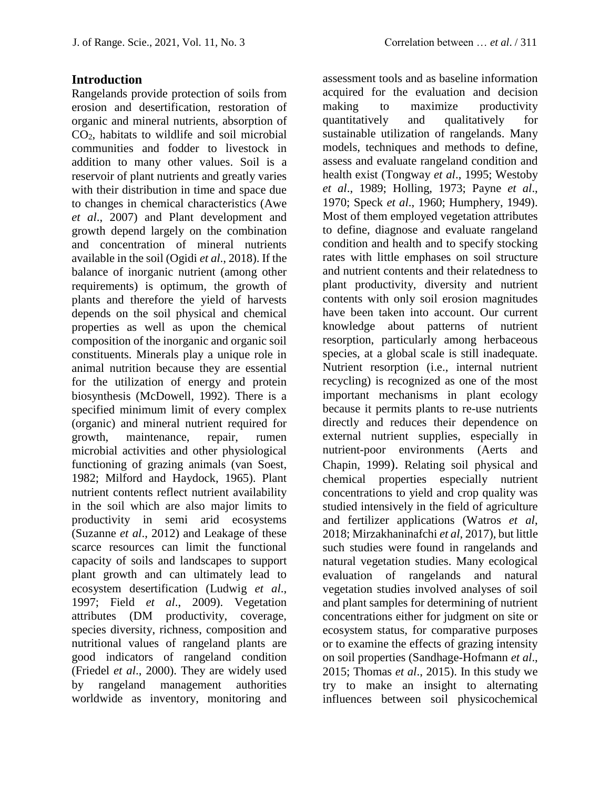### **Introduction**

Rangelands provide protection of soils from erosion and desertification, restoration of organic and mineral nutrients, absorption of CO2, habitats to wildlife and soil microbial communities and fodder to livestock in addition to many other values. Soil is a reservoir of plant nutrients and greatly varies with their distribution in time and space due to changes in chemical characteristics (Awe *et al*., 2007) and Plant development and growth depend largely on the combination and concentration of mineral nutrients available in the soil (Ogidi *et al*., 2018). If the balance of inorganic nutrient (among other requirements) is optimum, the growth of plants and therefore the yield of harvests depends on the soil physical and chemical properties as well as upon the chemical composition of the inorganic and organic soil constituents. Minerals play a unique role in animal nutrition because they are essential for the utilization of energy and protein biosynthesis (McDowell, 1992). There is a specified minimum limit of every complex (organic) and mineral nutrient required for growth, maintenance, repair, rumen microbial activities and other physiological functioning of grazing animals (van Soest, 1982; Milford and Haydock, 1965). Plant nutrient contents reflect nutrient availability in the soil which are also major limits to productivity in semi arid ecosystems (Suzanne *et al*., 2012) and Leakage of these scarce resources can limit the functional capacity of soils and landscapes to support plant growth and can ultimately lead to ecosystem desertification (Ludwig *et al*., 1997; Field *et al*., 2009). Vegetation attributes (DM productivity, coverage, species diversity, richness, composition and nutritional values of rangeland plants are good indicators of rangeland condition (Friedel *et al*., 2000). They are widely used by rangeland management authorities worldwide as inventory, monitoring and

assessment tools and as baseline information acquired for the evaluation and decision making to maximize productivity quantitatively and qualitatively for sustainable utilization of rangelands. Many models, techniques and methods to define, assess and evaluate rangeland condition and health exist (Tongway *et al*., 1995; Westoby *et al*., 1989; Holling, 1973; Payne *et al*., 1970; Speck *et al*., 1960; Humphery, 1949). Most of them employed vegetation attributes to define, diagnose and evaluate rangeland condition and health and to specify stocking rates with little emphases on soil structure and nutrient contents and their relatedness to plant productivity, diversity and nutrient contents with only soil erosion magnitudes have been taken into account. Our current knowledge about patterns of nutrient resorption, particularly among herbaceous species, at a global scale is still inadequate. Nutrient resorption (i.e., internal nutrient recycling) is recognized as one of the most important mechanisms in plant ecology because it permits plants to re-use nutrients directly and reduces their dependence on external nutrient supplies, especially in nutrient-poor environments [\(Aerts and](https://www.frontiersin.org/articles/10.3389/fpls.2018.01431/full#B4)  [Chapin, 1999](https://www.frontiersin.org/articles/10.3389/fpls.2018.01431/full#B4)). Relating soil physical and chemical properties especially nutrient concentrations to yield and crop quality was studied intensively in the field of agriculture and fertilizer applications (Watros *et al*, 2018; Mirzakhaninafchi *et al*, 2017), but little such studies were found in rangelands and natural vegetation studies. Many ecological evaluation of rangelands and natural vegetation studies involved analyses of soil and plant samples for determining of nutrient concentrations either for judgment on site or ecosystem status, for comparative purposes or to examine the effects of grazing intensity on soil properties (Sandhage-Hofmann *et al*., 2015; Thomas *et al*., 2015). In this study we try to make an insight to alternating influences between soil physicochemical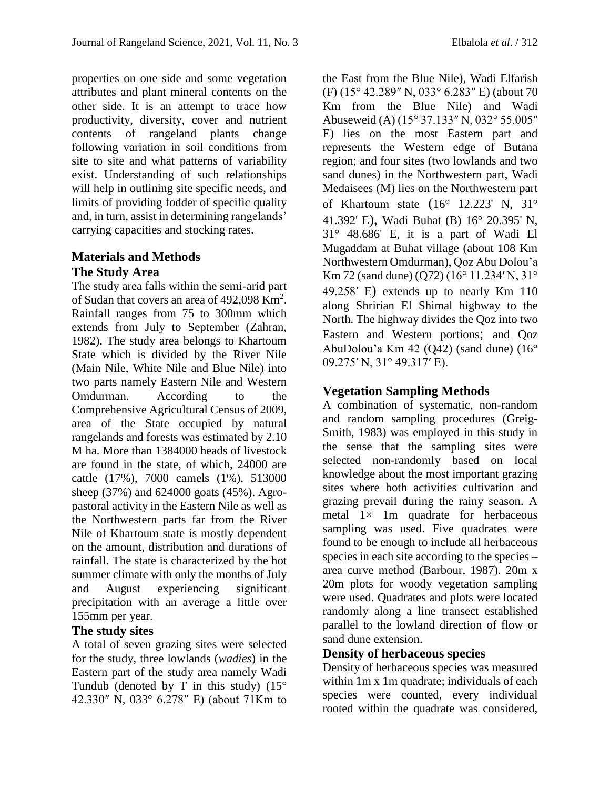properties on one side and some vegetation attributes and plant mineral contents on the other side. It is an attempt to trace how productivity, diversity, cover and nutrient contents of rangeland plants change following variation in soil conditions from site to site and what patterns of variability exist. Understanding of such relationships will help in outlining site specific needs, and limits of providing fodder of specific quality and, in turn, assist in determining rangelands' carrying capacities and stocking rates.

### **Materials and Methods The Study Area**

The study area falls within the semi-arid part of Sudan that covers an area of  $492,098$  Km<sup>2</sup>. Rainfall ranges from 75 to 300mm which extends from July to September (Zahran, 1982). The study area belongs to Khartoum State which is divided by the River Nile (Main Nile, White Nile and Blue Nile) into two parts namely Eastern Nile and Western Omdurman. According to the Comprehensive Agricultural Census of 2009, area of the State occupied by natural rangelands and forests was estimated by 2.10 M ha. More than 1384000 heads of livestock are found in the state, of which, 24000 are cattle (17%), 7000 camels (1%), 513000 sheep (37%) and 624000 goats (45%). Agropastoral activity in the Eastern Nile as well as the Northwestern parts far from the River Nile of Khartoum state is mostly dependent on the amount, distribution and durations of rainfall. The state is characterized by the hot summer climate with only the months of July and August experiencing significant precipitation with an average a little over 155mm per year.

### **The study sites**

A total of seven grazing sites were selected for the study, three lowlands (*wadies*) in the Eastern part of the study area namely Wadi Tundub (denoted by T in this study)  $(15^{\circ}$ 42.330″ N, 033° 6.278″ E) (about 71Km to

the East from the Blue Nile), Wadi Elfarish (F) (15° 42.289″ N, 033° 6.283″ E) (about 70 Km from the Blue Nile) and Wadi Abuseweid (A) (15° 37.133″ N, 032° 55.005″ E) lies on the most Eastern part and represents the Western edge of Butana region; and four sites (two lowlands and two sand dunes) in the Northwestern part, Wadi Medaisees (M) lies on the Northwestern part of Khartoum state (16° 12.223' N, 31° 41.392' E), Wadi Buhat (B) 16° 20.395' N, 31° 48.686' E, it is a part of Wadi El Mugaddam at Buhat village (about 108 Km Northwestern Omdurman), Qoz Abu Dolou'a Km 72 (sand dune) (Q72) (16° 11.234′ N, 31° 49.258′ E) extends up to nearly Km 110 along Shririan El Shimal highway to the North. The highway divides the Qoz into two Eastern and Western portions; and Qoz AbuDolou'a Km 42 (Q42) (sand dune) (16°

## **Vegetation Sampling Methods**

09.275′ N, 31° 49.317′ E).

A combination of systematic, non-random and random sampling procedures (Greig-Smith, 1983) was employed in this study in the sense that the sampling sites were selected non-randomly based on local knowledge about the most important grazing sites where both activities cultivation and grazing prevail during the rainy season. A metal  $1 \times 1$ m quadrate for herbaceous sampling was used. Five quadrates were found to be enough to include all herbaceous species in each site according to the species – area curve method (Barbour, 1987). 20m x 20m plots for woody vegetation sampling were used. Quadrates and plots were located randomly along a line transect established parallel to the lowland direction of flow or sand dune extension.

### **Density of herbaceous species**

Density of herbaceous species was measured within 1m x 1m quadrate; individuals of each species were counted, every individual rooted within the quadrate was considered,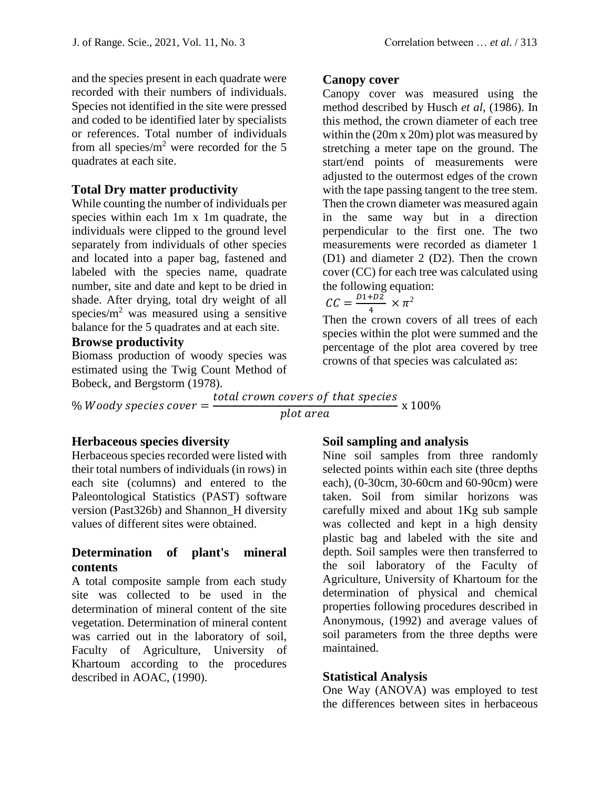and the species present in each quadrate were recorded with their numbers of individuals. Species not identified in the site were pressed and coded to be identified later by specialists or references. Total number of individuals from all species/ $m<sup>2</sup>$  were recorded for the 5 quadrates at each site.

#### **Total Dry matter productivity**

While counting the number of individuals per species within each 1m x 1m quadrate, the individuals were clipped to the ground level separately from individuals of other species and located into a paper bag, fastened and labeled with the species name, quadrate number, site and date and kept to be dried in shade. After drying, total dry weight of all species/ $m^2$  was measured using a sensitive balance for the 5 quadrates and at each site.

## **Browse productivity**

Biomass production of woody species was estimated using the Twig Count Method of Bobeck, and Bergstorm (1978).

 $%$  *Woody species cover*  $=$ 

**Canopy cover** 

Canopy cover was measured using the method described by Husch *et al*, (1986). In this method, the crown diameter of each tree within the (20m x 20m) plot was measured by stretching a meter tape on the ground. The start/end points of measurements were adjusted to the outermost edges of the crown with the tape passing tangent to the tree stem. Then the crown diameter was measured again in the same way but in a direction perpendicular to the first one. The two measurements were recorded as diameter 1 (D1) and diameter 2 (D2). Then the crown cover (CC) for each tree was calculated using the following equation:

$$
CC = \frac{D1 + D2}{4} \times \pi^2
$$

Then the crown covers of all trees of each species within the plot were summed and the percentage of the plot area covered by tree crowns of that species was calculated as:

total crown covers of that species plot area x 100%

#### **Herbaceous species diversity**

Herbaceous species recorded were listed with their total numbers of individuals (in rows) in each site (columns) and entered to the Paleontological Statistics (PAST) software version (Past326b) and Shannon\_H diversity values of different sites were obtained.

### **Determination of plant's mineral contents**

A total composite sample from each study site was collected to be used in the determination of mineral content of the site vegetation. Determination of mineral content was carried out in the laboratory of soil, Faculty of Agriculture, University of Khartoum according to the procedures described in AOAC, (1990).

### **Soil sampling and analysis**

Nine soil samples from three randomly selected points within each site (three depths each), (0-30cm, 30-60cm and 60-90cm) were taken. Soil from similar horizons was carefully mixed and about 1Kg sub sample was collected and kept in a high density plastic bag and labeled with the site and depth. Soil samples were then transferred to the soil laboratory of the Faculty of Agriculture, University of Khartoum for the determination of physical and chemical properties following procedures described in Anonymous, (1992) and average values of soil parameters from the three depths were maintained.

#### **Statistical Analysis**

One Way (ANOVA) was employed to test the differences between sites in herbaceous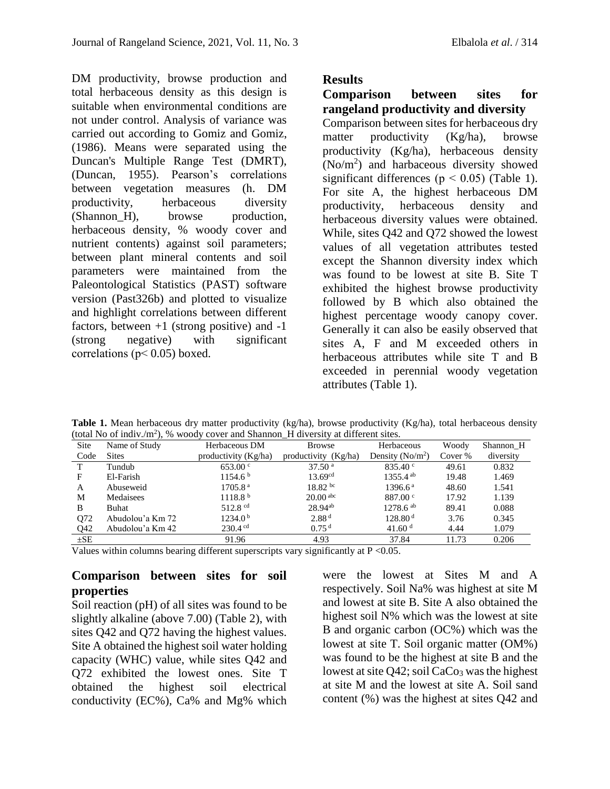DM productivity, browse production and total herbaceous density as this design is suitable when environmental conditions are not under control. Analysis of variance was carried out according to Gomiz and Gomiz, (1986). Means were separated using the Duncan's Multiple Range Test (DMRT), (Duncan, 1955). Pearson's correlations between vegetation measures (h. DM productivity, herbaceous diversity (Shannon H), browse production, herbaceous density, % woody cover and nutrient contents) against soil parameters; between plant mineral contents and soil parameters were maintained from the Paleontological Statistics (PAST) software version (Past326b) and plotted to visualize and highlight correlations between different factors, between  $+1$  (strong positive) and  $-1$ (strong negative) with significant correlations ( $p$ < 0.05) boxed.

### **Results**

#### **Comparison between sites for rangeland productivity and diversity**

Comparison between sites for herbaceous dry matter productivity (Kg/ha), browse productivity (Kg/ha), herbaceous density (No/m<sup>2</sup> ) and harbaceous diversity showed significant differences ( $p < 0.05$ ) (Table 1). For site A, the highest herbaceous DM productivity, herbaceous density and herbaceous diversity values were obtained. While, sites Q42 and Q72 showed the lowest values of all vegetation attributes tested except the Shannon diversity index which was found to be lowest at site B. Site T exhibited the highest browse productivity followed by B which also obtained the highest percentage woody canopy cover. Generally it can also be easily observed that sites A, F and M exceeded others in herbaceous attributes while site T and B exceeded in perennial woody vegetation attributes (Table 1).

Table 1. Mean herbaceous dry matter productivity (kg/ha), browse productivity (Kg/ha), total herbaceous density (total No of indiv./m<sup>2</sup>), % woody cover and Shannon\_H diversity at different sites.

| $1000001 + 100011 + 111011 + 11111 + 11111 + 11111 + 11111 + 11111 + 11111 + 11111 + 11111 + 11111 + 11111 + 11111 + 11111 + 11111 + 11111 + 11111 + 11111 + 11111 + 11111 + 11111 + 11111 + 11111 + 11111 + 11111 + 11111 + 11111 + 11111 + 11111 + 11111 +$ |                  |                       |                        |                        |         |           |  |  |  |
|---------------------------------------------------------------------------------------------------------------------------------------------------------------------------------------------------------------------------------------------------------------|------------------|-----------------------|------------------------|------------------------|---------|-----------|--|--|--|
| Site                                                                                                                                                                                                                                                          | Name of Study    | Herbaceous DM         | <b>Browse</b>          | Herbaceous             | Woody   | Shannon H |  |  |  |
| Code                                                                                                                                                                                                                                                          | <b>Sites</b>     | productivity (Kg/ha)  | productivity $(Kg/ha)$ | Density ( $No/m2$ )    | Cover % | diversity |  |  |  |
|                                                                                                                                                                                                                                                               | Tundub           | $653.00 \text{°}$     | 37.50 <sup>a</sup>     | 835.40 $\degree$       | 49.61   | 0.832     |  |  |  |
| F                                                                                                                                                                                                                                                             | El-Farish        | 1154.6 <sup>b</sup>   | $13.69^{cd}$           | $1355.4$ <sup>ab</sup> | 19.48   | 1.469     |  |  |  |
| A                                                                                                                                                                                                                                                             | Abuseweid        | 1705.8 <sup>a</sup>   | $18.82 \text{ bc}$     | $1396.6^{\text{a}}$    | 48.60   | 1.541     |  |  |  |
| M                                                                                                                                                                                                                                                             | Medaisees        | 1118.8 <sup>b</sup>   | $20.00$ <sup>abc</sup> | 887.00 °               | 17.92   | 1.139     |  |  |  |
| B                                                                                                                                                                                                                                                             | Buhat            | 512.8 $cd$            | $28.94^{ab}$           | $1278.6^{ab}$          | 89.41   | 0.088     |  |  |  |
| Q72                                                                                                                                                                                                                                                           | Abudolou'a Km 72 | 1234.0 <sup>b</sup>   | 2.88 <sup>d</sup>      | 128.80 <sup>d</sup>    | 3.76    | 0.345     |  |  |  |
| Q <sub>42</sub>                                                                                                                                                                                                                                               | Abudolou'a Km 42 | $230.4$ <sup>cd</sup> | 0.75 <sup>d</sup>      | 41.60 $^{\rm d}$       | 4.44    | 1.079     |  |  |  |
| $\pm$ SE                                                                                                                                                                                                                                                      |                  | 91.96                 | 4.93                   | 37.84                  | 11.73   | 0.206     |  |  |  |

Values within columns bearing different superscripts vary significantly at  $P < 0.05$ .

### **Comparison between sites for soil properties**

Soil reaction (pH) of all sites was found to be slightly alkaline (above 7.00) (Table 2), with sites Q42 and Q72 having the highest values. Site A obtained the highest soil water holding capacity (WHC) value, while sites Q42 and Q72 exhibited the lowest ones. Site T obtained the highest soil electrical conductivity (EC%), Ca% and Mg% which were the lowest at Sites M and A respectively. Soil Na% was highest at site M and lowest at site B. Site A also obtained the highest soil N% which was the lowest at site B and organic carbon (OC%) which was the lowest at site T. Soil organic matter (OM%) was found to be the highest at site B and the lowest at site  $Q42$ ; soil CaCo<sub>3</sub> was the highest at site M and the lowest at site A. Soil sand content (%) was the highest at sites Q42 and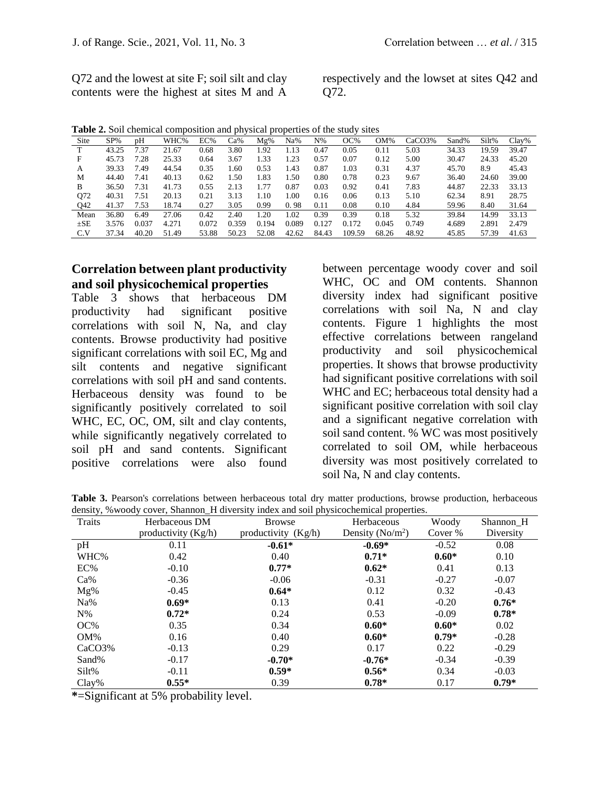Q72 and the lowest at site F; soil silt and clay contents were the highest at sites M and A respectively and the lowset at sites Q42 and Q72.

| Table 2. Soil chemical composition and physical properties of the study sites |  |
|-------------------------------------------------------------------------------|--|
|-------------------------------------------------------------------------------|--|

| Site     | $SP\%$ | pΗ    | WHC%  | EC%   | Ca%   | $Mg\%$ | Na%             | $N\%$ | OC%    | OM%   | CaCO3% | Sand% | Silt% | $Clav\%$ |
|----------|--------|-------|-------|-------|-------|--------|-----------------|-------|--------|-------|--------|-------|-------|----------|
| т        | 43.25  | 1.37  | 21.67 | 0.68  | 3.80  | 1.92   | 1.13            | 0.47  | 0.05   | 0.11  | 5.03   | 34.33 | 19.59 | 39.47    |
| F        | 45.73  | 7.28  | 25.33 | 0.64  | 3.67  | 1.33   | $\overline{23}$ | 0.57  | 0.07   | 0.12  | 5.00   | 30.47 | 24.33 | 45.20    |
| А        | 39.33  | 7.49  | 44.54 | 0.35  | 1.60  | 0.53   | 1.43            | 0.87  | 1.03   | 0.31  | 4.37   | 45.70 | 8.9   | 45.43    |
| M        | 44.40  | 7.41  | 40.13 | 0.62  | 1.50  | 1.83   | . .50           | 0.80  | 0.78   | 0.23  | 9.67   | 36.40 | 24.60 | 39.00    |
| B        | 36.50  | 7.31  | 41.73 | 0.55  | 2.13  | 1.77   | 0.87            | 0.03  | 0.92   | 0.41  | 7.83   | 44.87 | 22.33 | 33.13    |
| O72      | 40.31  | 7.51  | 20.13 | 0.21  | 3.13  | 1.10   | 00.1            | 0.16  | 0.06   | 0.13  | 5.10   | 62.34 | 8.91  | 28.75    |
| Q42      | 41.37  | 7.53  | 18.74 | 0.27  | 3.05  | 0.99   | 0.98            | 0.11  | 0.08   | 0.10  | 4.84   | 59.96 | 8.40  | 31.64    |
| Mean     | 36.80  | 6.49  | 27.06 | 0.42  | 2.40  | .20    | 1.02            | 0.39  | 0.39   | 0.18  | 5.32   | 39.84 | 14.99 | 33.13    |
| $\pm$ SE | 3.576  | 0.037 | 4.271 | 0.072 | 0.359 | 0.194  | 0.089           | 0.127 | 0.172  | 0.045 | 0.749  | 4.689 | 2.891 | 2.479    |
| C.V      | 37.34  | 40.20 | 51.49 | 53.88 | 50.23 | 52.08  | 42.62           | 84.43 | 109.59 | 68.26 | 48.92  | 45.85 | 57.39 | 41.63    |

#### **Correlation between plant productivity and soil physicochemical properties**

Table 3 shows that herbaceous DM productivity had significant positive correlations with soil N, Na, and clay contents. Browse productivity had positive significant correlations with soil EC, Mg and silt contents and negative significant correlations with soil pH and sand contents. Herbaceous density was found to be significantly positively correlated to soil WHC, EC, OC, OM, silt and clay contents, while significantly negatively correlated to soil pH and sand contents. Significant positive correlations were also found

between percentage woody cover and soil WHC, OC and OM contents. Shannon diversity index had significant positive correlations with soil Na, N and clay contents. Figure 1 highlights the most effective correlations between rangeland productivity and soil physicochemical properties. It shows that browse productivity had significant positive correlations with soil WHC and EC; herbaceous total density had a significant positive correlation with soil clay and a significant negative correlation with soil sand content. % WC was most positively correlated to soil OM, while herbaceous diversity was most positively correlated to soil Na, N and clay contents.

**Table 3.** Pearson's correlations between herbaceous total dry matter productions, browse production, herbaceous density, %woody cover, Shannon\_H diversity index and soil physicochemical properties.

| Traits             | Herbaceous DM         | <b>Browse</b>       | Herbaceous          | Woody   | Shannon <sub>H</sub> |
|--------------------|-----------------------|---------------------|---------------------|---------|----------------------|
|                    | productivity $(Kg/h)$ | productivity (Kg/h) | Density ( $No/m2$ ) | Cover % | Diversity            |
| pH                 | 0.11                  | $-0.61*$            | $-0.69*$            | $-0.52$ | 0.08                 |
| WHC%               | 0.42                  | 0.40                | $0.71*$             | $0.60*$ | 0.10                 |
| EC%                | $-0.10$               | $0.77*$             | $0.62*$             | 0.41    | 0.13                 |
| $Ca\%$             | $-0.36$               | $-0.06$             | $-0.31$             | $-0.27$ | $-0.07$              |
| Mg%                | $-0.45$               | $0.64*$             | 0.12                | 0.32    | $-0.43$              |
| Na%                | $0.69*$               | 0.13                | 0.41                | $-0.20$ | $0.76*$              |
| $N\%$              | $0.72*$               | 0.24                | 0.53                | $-0.09$ | $0.78*$              |
| OC%                | 0.35                  | 0.34                | $0.60*$             | $0.60*$ | 0.02                 |
| $OM\%$             | 0.16                  | 0.40                | $0.60*$             | $0.79*$ | $-0.28$              |
| CaCO <sub>3%</sub> | $-0.13$               | 0.29                | 0.17                | 0.22    | $-0.29$              |
| Sand%              | $-0.17$               | $-0.70*$            | $-0.76*$            | $-0.34$ | $-0.39$              |
| Silt%              | $-0.11$               | $0.59*$             | $0.56*$             | 0.34    | $-0.03$              |
| $Clav\%$           | $0.55*$               | 0.39                | $0.78*$             | 0.17    | $0.79*$              |

**\***=Significant at 5% probability level.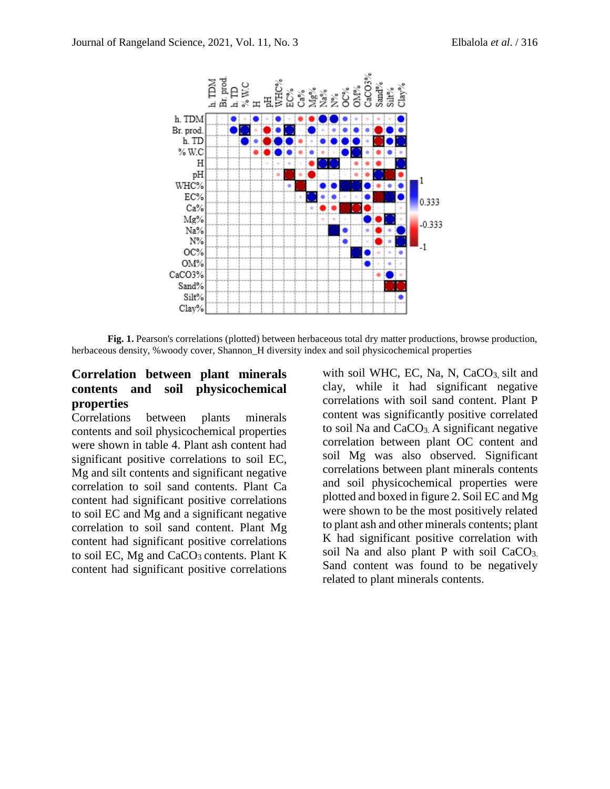

**Fig. 1.** Pearson's correlations (plotted) between herbaceous total dry matter productions, browse production, herbaceous density, %woody cover, Shannon\_H diversity index and soil physicochemical properties

### **Correlation between plant minerals contents and soil physicochemical properties**

Correlations between plants minerals contents and soil physicochemical properties were shown in table 4. Plant ash content had significant positive correlations to soil EC, Mg and silt contents and significant negative correlation to soil sand contents. Plant Ca content had significant positive correlations to soil EC and Mg and a significant negative correlation to soil sand content. Plant Mg content had significant positive correlations to soil EC, Mg and  $CaCO<sub>3</sub>$  contents. Plant K content had significant positive correlations

with soil WHC, EC, Na, N,  $CaCO<sub>3</sub>$  silt and clay, while it had significant negative correlations with soil sand content. Plant P content was significantly positive correlated to soil Na and  $CaCO<sub>3</sub>$ . A significant negative correlation between plant OC content and soil Mg was also observed. Significant correlations between plant minerals contents and soil physicochemical properties were plotted and boxed in figure 2. Soil EC and Mg were shown to be the most positively related to plant ash and other minerals contents; plant K had significant positive correlation with soil Na and also plant P with soil CaCO<sub>3</sub>. Sand content was found to be negatively related to plant minerals contents.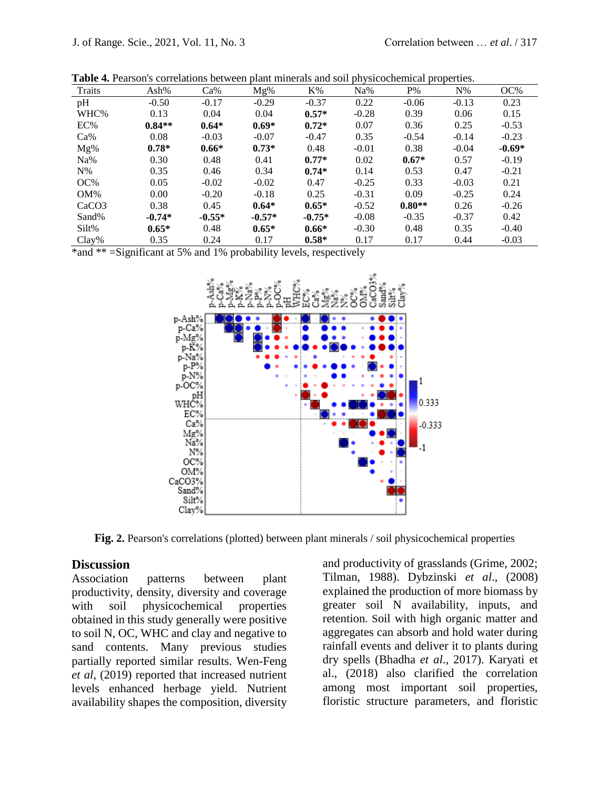| Traits            | Ash%     | Ca%      | Mg%      | $K\%$    | Na%     | $P\%$    | $N\%$   | OC%      |
|-------------------|----------|----------|----------|----------|---------|----------|---------|----------|
| pH                | $-0.50$  | $-0.17$  | $-0.29$  | $-0.37$  | 0.22    | $-0.06$  | $-0.13$ | 0.23     |
| WHC%              | 0.13     | 0.04     | 0.04     | $0.57*$  | $-0.28$ | 0.39     | 0.06    | 0.15     |
| EC%               | $0.84**$ | $0.64*$  | $0.69*$  | $0.72*$  | 0.07    | 0.36     | 0.25    | $-0.53$  |
| $Ca\%$            | 0.08     | $-0.03$  | $-0.07$  | $-0.47$  | 0.35    | $-0.54$  | $-0.14$ | $-0.23$  |
| Mg%               | $0.78*$  | $0.66*$  | $0.73*$  | 0.48     | $-0.01$ | 0.38     | $-0.04$ | $-0.69*$ |
| Na%               | 0.30     | 0.48     | 0.41     | $0.77*$  | 0.02    | $0.67*$  | 0.57    | $-0.19$  |
| $N\%$             | 0.35     | 0.46     | 0.34     | $0.74*$  | 0.14    | 0.53     | 0.47    | $-0.21$  |
| OC%               | 0.05     | $-0.02$  | $-0.02$  | 0.47     | $-0.25$ | 0.33     | $-0.03$ | 0.21     |
| $OM\%$            | 0.00     | $-0.20$  | $-0.18$  | 0.25     | $-0.31$ | 0.09     | $-0.25$ | 0.24     |
| CaCO <sub>3</sub> | 0.38     | 0.45     | $0.64*$  | $0.65*$  | $-0.52$ | $0.80**$ | 0.26    | $-0.26$  |
| Sand%             | $-0.74*$ | $-0.55*$ | $-0.57*$ | $-0.75*$ | $-0.08$ | $-0.35$  | $-0.37$ | 0.42     |
| Silt%             | $0.65*$  | 0.48     | $0.65*$  | $0.66*$  | $-0.30$ | 0.48     | 0.35    | $-0.40$  |
| Clay%             | 0.35     | 0.24     | 0.17     | $0.58*$  | 0.17    | 0.17     | 0.44    | $-0.03$  |

**Table 4.** Pearson's correlations between plant minerals and soil physicochemical properties.

\*and \*\* =Significant at 5% and 1% probability levels, respectively



**Fig.** 2. Pearson's correlations (plotted) between plant minerals / soil physicochemical properties

#### **Discussion**

Association patterns between plant productivity, density, diversity and coverage with soil physicochemical properties obtained in this study generally were positive to soil N, OC, WHC and clay and negative to sand contents. Many previous studies partially reported similar results. Wen-Feng *et al*, (2019) reported that increased nutrient levels enhanced herbage yield. Nutrient availability shapes the composition, diversity

and productivity of grasslands (Grime, 2002; Tilman, 1988). Dybzinski *et al*., (2008) explained the production of more biomass by greater soil N availability, inputs, and retention. Soil with high organic matter and aggregates can absorb and hold water during rainfall events and deliver it to plants during dry spells (Bhadha *et al*., 2017). Karyati et al., (2018) also clarified the correlation among most important soil properties, floristic structure parameters, and floristic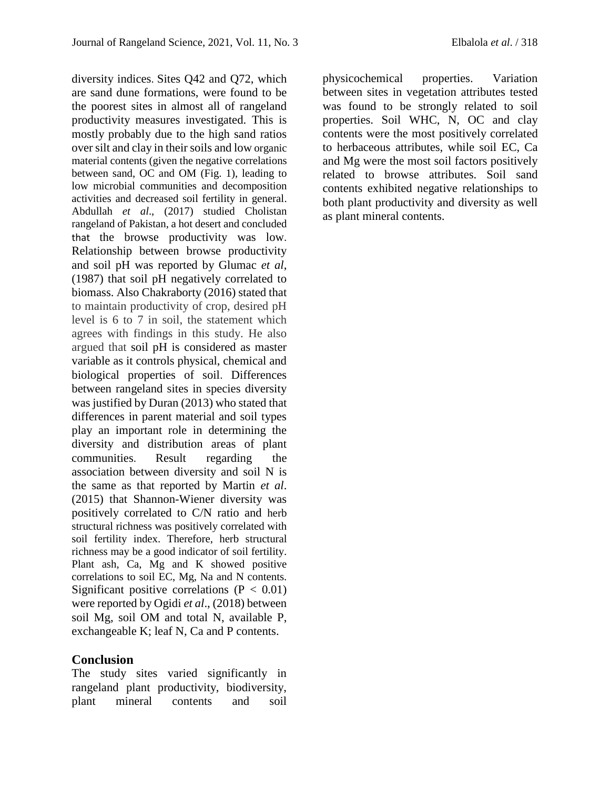diversity indices. Sites Q42 and Q72, which are sand dune formations, were found to be the poorest sites in almost all of rangeland productivity measures investigated. This is mostly probably due to the high sand ratios over silt and clay in their soils and low organic material contents (given the negative correlations between sand, OC and OM (Fig. 1), leading to low microbial communities and decomposition activities and decreased soil fertility in general. Abdullah *et al*., (2017) studied Cholistan rangeland of Pakistan, a hot desert and concluded that the browse productivity was low. Relationship between browse productivity and soil pH was reported by Glumac *et al*, (1987) that soil pH negatively correlated to biomass. Also Chakraborty (2016) stated that to maintain productivity of crop, desired pH level is 6 to 7 in soil, the statement which agrees with findings in this study. He also argued that soil pH is considered as master variable as it controls physical, chemical and biological properties of soil. Differences between rangeland sites in species diversity was justified by Duran (2013) who stated that differences in parent material and soil types play an important role in determining the diversity and distribution areas of plant communities. Result regarding the association between diversity and soil N is the same as that reported by Martin *et al*. (2015) that Shannon-Wiener diversity was positively correlated to C/N ratio and herb structural richness was positively correlated with soil fertility index. Therefore, herb structural richness may be a good indicator of soil fertility. Plant ash, Ca, Mg and K showed positive correlations to soil EC, Mg, Na and N contents. Significant positive correlations ( $P < 0.01$ ) were reported by Ogidi *et al*., (2018) between soil Mg, soil OM and total N, available P, exchangeable K; leaf N, Ca and P contents.

#### **Conclusion**

The study sites varied significantly in rangeland plant productivity, biodiversity, plant mineral contents and soil

physicochemical properties. Variation between sites in vegetation attributes tested was found to be strongly related to soil properties. Soil WHC, N, OC and clay contents were the most positively correlated to herbaceous attributes, while soil EC, Ca and Mg were the most soil factors positively related to browse attributes. Soil sand contents exhibited negative relationships to both plant productivity and diversity as well as plant mineral contents.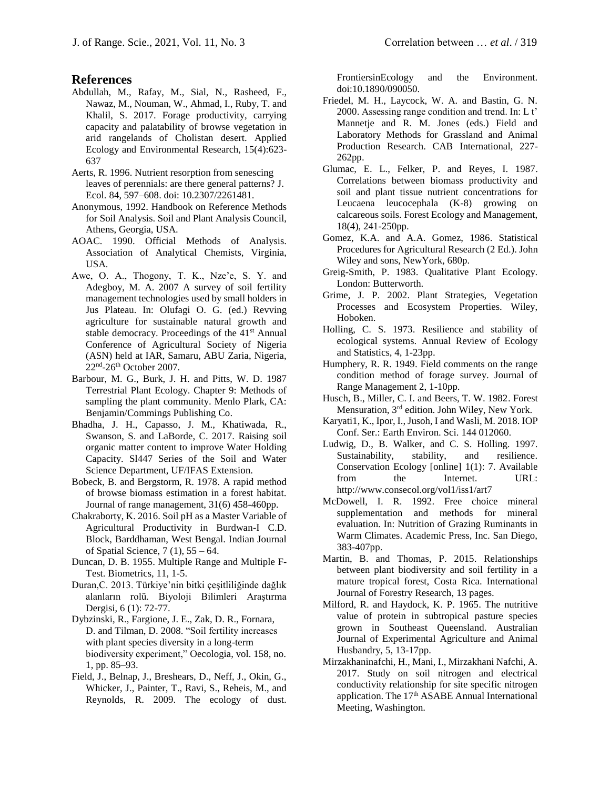#### **References**

- Abdullah, M., Rafay, M., Sial, N., Rasheed, F., Nawaz, M., Nouman, W., Ahmad, I., Ruby, T. and Khalil, S. 2017. Forage productivity, carrying capacity and palatability of browse vegetation in arid rangelands of Cholistan desert. Applied Ecology and Environmental Research, 15(4):623- 637
- Aerts, R. 1996. Nutrient resorption from senescing leaves of perennials: are there general patterns? J. Ecol. 84, 597–608. doi: 10.2307/2261481.
- Anonymous, 1992. Handbook on Reference Methods for Soil Analysis. Soil and Plant Analysis Council, Athens, Georgia, USA.
- AOAC. 1990. Official Methods of Analysis. Association of Analytical Chemists, Virginia, USA.
- Awe, O. A., Thogony, T. K., Nze'e, S. Y. and Adegboy, M. A. 2007 A survey of soil fertility management technologies used by small holders in Jus Plateau. In: Olufagi O. G. (ed.) Revving agriculture for sustainable natural growth and stable democracy. Proceedings of the 41<sup>st</sup> Annual Conference of Agricultural Society of Nigeria (ASN) held at IAR, Samaru, ABU Zaria, Nigeria, 22<sup>nd</sup>-26<sup>th</sup> October 2007.
- Barbour, M. G., Burk, J. H. and Pitts, W. D. 1987 Terrestrial Plant Ecology. Chapter 9: Methods of sampling the plant community. Menlo Plark, CA: Benjamin/Commings Publishing Co.
- Bhadha, J. H., Capasso, J. M., Khatiwada, R., Swanson, S. and LaBorde, C. 2017. Raising soil organic matter content to improve Water Holding Capacity. Sl447 Series of the Soil and Water Science Department, UF/IFAS Extension.
- Bobeck, B. and Bergstorm, R. 1978. A rapid method of browse biomass estimation in a forest habitat. Journal of range management, 31(6) 458-460pp.
- Chakraborty, K. 2016. Soil pH as a Master Variable of Agricultural Productivity in Burdwan-I C.D. Block, Barddhaman, West Bengal. Indian Journal of Spatial Science, 7 (1), 55 – 64.
- Duncan, D. B. 1955. Multiple Range and Multiple F-Test. Biometrics, 11, 1-5.
- Duran,C. 2013. Türkiye'nin bitki çeşitliliğinde dağlık alanların rolü. Biyoloji Bilimleri Araştırma Dergisi, 6 (1): 72-77.
- Dybzinski, R., Fargione, J. E., Zak, D. R., Fornara, D. and Tilman, D. 2008. "Soil fertility increases with plant species diversity in a long-term biodiversity experiment," Oecologia, vol. 158, no. 1, pp. 85–93.
- Field, J., Belnap, J., Breshears, D., Neff, J., Okin, G., Whicker, J., Painter, T., Ravi, S., Reheis, M., and Reynolds, R. 2009. The ecology of dust.

FrontiersinEcology and the Environment. doi:10.1890/090050.

- Friedel, M. H., Laycock, W. A. and Bastin, G. N. 2000. Assessing range condition and trend. In: L t' Mannetje and R. M. Jones (eds.) Field and Laboratory Methods for Grassland and Animal Production Research. CAB International, 227- 262pp.
- Glumac, E. L., Felker, P. and Reyes, I. 1987. Correlations between biomass productivity and soil and plant tissue nutrient concentrations for Leucaena leucocephala (K-8) growing on calcareous soils. Forest Ecology and Management, 18(4), 241-250pp.
- Gomez, K.A. and A.A. Gomez, 1986. Statistical Procedures for Agricultural Research (2 Ed.). John Wiley and sons, NewYork, 680p.
- Greig-Smith, P. 1983. Qualitative Plant Ecology. London: Butterworth.
- Grime, J. P. 2002. Plant Strategies, Vegetation Processes and Ecosystem Properties. Wiley, Hoboken.
- Holling, C. S. 1973. Resilience and stability of ecological systems. Annual Review of Ecology and Statistics, 4, 1-23pp.
- Humphery, R. R. 1949. Field comments on the range condition method of forage survey. Journal of Range Management 2, 1-10pp.
- Husch, B., Miller, C. I. and Beers, T. W. 1982. Forest Mensuration, 3rd edition. John Wiley, New York.
- Karyati1, K., Ipor, I., Jusoh, I and Wasli, M. 2018. IOP Conf. Ser.: Earth Environ. Sci. 144 012060.
- Ludwig, D., B. Walker, and C. S. Holling. 1997. Sustainability, stability, and resilience. Conservation Ecology [online] 1(1): 7. Available from the Internet. URL: http://www.consecol.org/vol1/iss1/art7
- McDowell, I. R. 1992. Free choice mineral supplementation and methods for mineral evaluation. In: Nutrition of Grazing Ruminants in Warm Climates. Academic Press, Inc. San Diego, 383-407pp.
- Martin, B. and Thomas, P. 2015. Relationships between plant biodiversity and soil fertility in a mature tropical forest, Costa Rica. International Journal of Forestry Research, 13 pages.
- Milford, R. and Haydock, K. P. 1965. The nutritive value of protein in subtropical pasture species grown in Southeast Queensland. Australian Journal of Experimental Agriculture and Animal Husbandry, 5, 13-17pp.
- Mirzakhaninafchi, H., Mani, I., Mirzakhani Nafchi, A. 2017. Study on soil nitrogen and electrical conductivity relationship for site specific nitrogen application. The 17<sup>th</sup> ASABE Annual International Meeting, Washington.